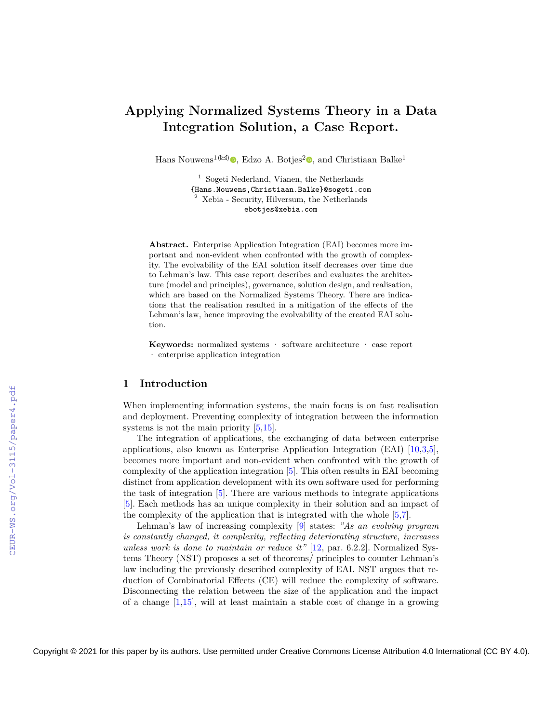# **Applying Normalized Systems Theory in a Data Integration Solution, a Case Report.**

Hans Nouwens<sup>1( $\boxtimes$ )</sup><sup>o</sup>[,](https://orcid.org/0000-0003-0097-7375) Edzo A. Botjes<sup>2</sup><sup>o</sup>, and Christiaan Balke<sup>1</sup>

<sup>1</sup> Sogeti Nederland, Vianen, the Netherlands {Hans.Nouwens,Christiaan.Balke}@sogeti.com <sup>2</sup> Xebia - Security, Hilversum, the Netherlands ebotjes@xebia.com

**Abstract.** Enterprise Application Integration (EAI) becomes more important and non-evident when confronted with the growth of complexity. The evolvability of the EAI solution itself decreases over time due to Lehman's law. This case report describes and evaluates the architecture (model and principles), governance, solution design, and realisation, which are based on the Normalized Systems Theory. There are indications that the realisation resulted in a mitigation of the effects of the Lehman's law, hence improving the evolvability of the created EAI solution.

**Keywords:** normalized systems · software architecture · case report · enterprise application integration

## **1 Introduction**

When implementing information systems, the main focus is on fast realisation and deployment. Preventing complexity of integration between the information systems is not the main priority  $[5,15]$  $[5,15]$ .

The integration of applications, the exchanging of data between enterprise applications, also known as Enterprise Application Integration (EAI) [\[10,](#page--1-2)[3](#page--1-3)[,5\]](#page--1-0), becomes more important and non-evident when confronted with the growth of complexity of the application integration [\[5\]](#page--1-0). This often results in EAI becoming distinct from application development with its own software used for performing the task of integration [\[5\]](#page--1-0). There are various methods to integrate applications [\[5\]](#page--1-0). Each methods has an unique complexity in their solution and an impact of the complexity of the application that is integrated with the whole [\[5](#page--1-0)[,7\]](#page--1-4).

Lehman's law of increasing complexity [\[9\]](#page--1-5) states: *"As an evolving program is constantly changed, it complexity, reflecting deteriorating structure, increases unless work is done to maintain or reduce it"* [\[12,](#page--1-6) par. 6.2.2]. Normalized Systems Theory (NST) proposes a set of theorems/ principles to counter Lehman's law including the previously described complexity of EAI. NST argues that reduction of Combinatorial Effects (CE) will reduce the complexity of software. Disconnecting the relation between the size of the application and the impact of a change [\[1](#page--1-7)[,15\]](#page--1-1), will at least maintain a stable cost of change in a growing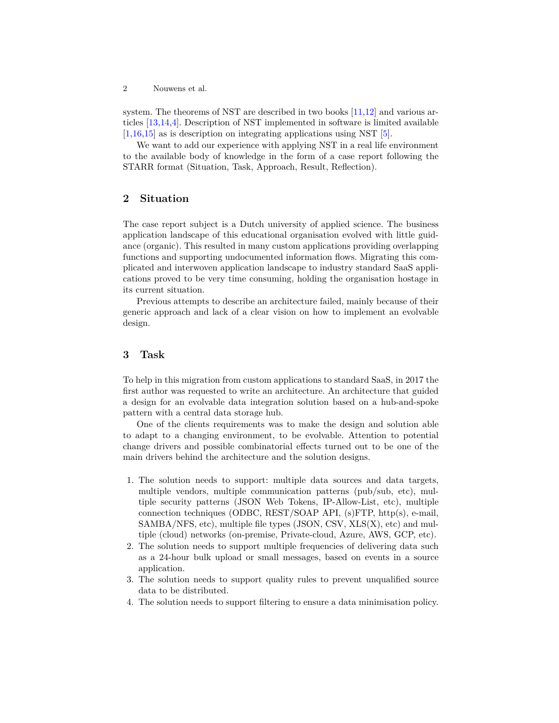system. The theorems of NST are described in two books [\[11](#page-13-0)[,12\]](#page-13-1) and various articles [\[13,](#page-13-2)[14](#page-13-3)[,4\]](#page-12-0). Description of NST implemented in software is limited available [\[1,](#page-12-1)[16](#page-13-4)[,15\]](#page-13-5) as is description on integrating applications using NST [\[5\]](#page-12-2).

We want to add our experience with applying NST in a real life environment to the available body of knowledge in the form of a case report following the STARR format (Situation, Task, Approach, Result, Reflection).

# **2 Situation**

The case report subject is a Dutch university of applied science. The business application landscape of this educational organisation evolved with little guidance (organic). This resulted in many custom applications providing overlapping functions and supporting undocumented information flows. Migrating this complicated and interwoven application landscape to industry standard SaaS applications proved to be very time consuming, holding the organisation hostage in its current situation.

Previous attempts to describe an architecture failed, mainly because of their generic approach and lack of a clear vision on how to implement an evolvable design.

# **3 Task**

To help in this migration from custom applications to standard SaaS, in 2017 the first author was requested to write an architecture. An architecture that guided a design for an evolvable data integration solution based on a hub-and-spoke pattern with a central data storage hub.

One of the clients requirements was to make the design and solution able to adapt to a changing environment, to be evolvable. Attention to potential change drivers and possible combinatorial effects turned out to be one of the main drivers behind the architecture and the solution designs.

- 1. The solution needs to support: multiple data sources and data targets, multiple vendors, multiple communication patterns (pub/sub, etc), multiple security patterns (JSON Web Tokens, IP-Allow-List, etc), multiple connection techniques (ODBC, REST/SOAP API, (s)FTP, http(s), e-mail,  $SAMBA/NFS$ , etc), multiple file types (JSON, CSV, XLS $(X)$ , etc) and multiple (cloud) networks (on-premise, Private-cloud, Azure, AWS, GCP, etc).
- 2. The solution needs to support multiple frequencies of delivering data such as a 24-hour bulk upload or small messages, based on events in a source application.
- 3. The solution needs to support quality rules to prevent unqualified source data to be distributed.
- 4. The solution needs to support filtering to ensure a data minimisation policy.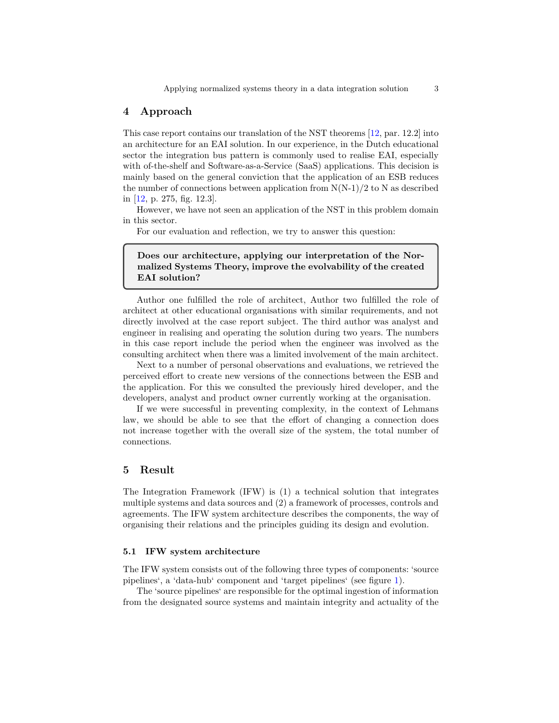## **4 Approach**

This case report contains our translation of the NST theorems [\[12,](#page-13-1) par. 12.2] into an architecture for an EAI solution. In our experience, in the Dutch educational sector the integration bus pattern is commonly used to realise EAI, especially with of-the-shelf and Software-as-a-Service (SaaS) applications. This decision is mainly based on the general conviction that the application of an ESB reduces the number of connections between application from  $N(N-1)/2$  to N as described in [\[12,](#page-13-1) p. 275, fig. 12.3].

However, we have not seen an application of the NST in this problem domain in this sector.

For our evaluation and reflection, we try to answer this question:

**Does our architecture, applying our interpretation of the Normalized Systems Theory, improve the evolvability of the created EAI solution?**

Author one fulfilled the role of architect, Author two fulfilled the role of architect at other educational organisations with similar requirements, and not directly involved at the case report subject. The third author was analyst and engineer in realising and operating the solution during two years. The numbers in this case report include the period when the engineer was involved as the consulting architect when there was a limited involvement of the main architect.

Next to a number of personal observations and evaluations, we retrieved the perceived effort to create new versions of the connections between the ESB and the application. For this we consulted the previously hired developer, and the developers, analyst and product owner currently working at the organisation.

If we were successful in preventing complexity, in the context of Lehmans law, we should be able to see that the effort of changing a connection does not increase together with the overall size of the system, the total number of connections.

#### **5 Result**

The Integration Framework (IFW) is (1) a technical solution that integrates multiple systems and data sources and (2) a framework of processes, controls and agreements. The IFW system architecture describes the components, the way of organising their relations and the principles guiding its design and evolution.

#### **5.1 IFW system architecture**

The IFW system consists out of the following three types of components: 'source pipelines', a 'data-hub' component and 'target pipelines' (see figure [1\)](#page-3-0).

The 'source pipelines' are responsible for the optimal ingestion of information from the designated source systems and maintain integrity and actuality of the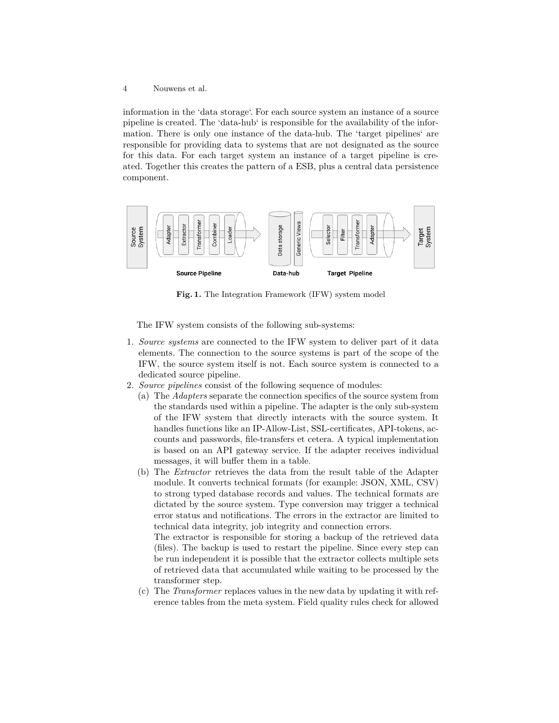information in the 'data storage'. For each source system an instance of a source pipeline is created. The 'data-hub' is responsible for the availability of the information. There is only one instance of the data-hub. The 'target pipelines' are responsible for providing data to systems that are not designated as the source for this data. For each target system an instance of a target pipeline is created. Together this creates the pattern of a ESB, plus a central data persistence component.



<span id="page-3-0"></span>**Fig. 1.** The Integration Framework (IFW) system model

The IFW system consists of the following sub-systems:

- 1. *Source systems* are connected to the IFW system to deliver part of it data elements. The connection to the source systems is part of the scope of the IFW, the source system itself is not. Each source system is connected to a dedicated source pipeline.
- 2. *Source pipelines* consist of the following sequence of modules:
	- (a) The *Adapters* separate the connection specifics of the source system from the standards used within a pipeline. The adapter is the only sub-system of the IFW system that directly interacts with the source system. It handles functions like an IP-Allow-List, SSL-certificates, API-tokens, accounts and passwords, file-transfers et cetera. A typical implementation is based on an API gateway service. If the adapter receives individual messages, it will buffer them in a table.
	- (b) The *Extractor* retrieves the data from the result table of the Adapter module. It converts technical formats (for example: JSON, XML, CSV) to strong typed database records and values. The technical formats are dictated by the source system. Type conversion may trigger a technical error status and notifications. The errors in the extractor are limited to technical data integrity, job integrity and connection errors.

The extractor is responsible for storing a backup of the retrieved data (files). The backup is used to restart the pipeline. Since every step can be run independent it is possible that the extractor collects multiple sets of retrieved data that accumulated while waiting to be processed by the transformer step.

(c) The *Transformer* replaces values in the new data by updating it with reference tables from the meta system. Field quality rules check for allowed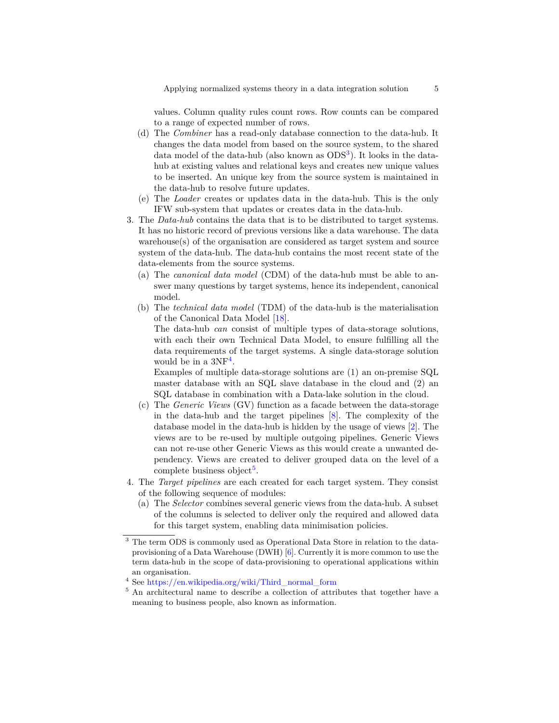values. Column quality rules count rows. Row counts can be compared to a range of expected number of rows.

- (d) The *Combiner* has a read-only database connection to the data-hub. It changes the data model from based on the source system, to the shared data model of the data-hub (also known as ODS<sup>[3](#page-4-0)</sup>). It looks in the datahub at existing values and relational keys and creates new unique values to be inserted. An unique key from the source system is maintained in the data-hub to resolve future updates.
- (e) The *Loader* creates or updates data in the data-hub. This is the only IFW sub-system that updates or creates data in the data-hub.
- 3. The *Data-hub* contains the data that is to be distributed to target systems. It has no historic record of previous versions like a data warehouse. The data warehouse(s) of the organisation are considered as target system and source system of the data-hub. The data-hub contains the most recent state of the data-elements from the source systems.
	- (a) The *canonical data model* (CDM) of the data-hub must be able to answer many questions by target systems, hence its independent, canonical model.
	- (b) The *technical data model* (TDM) of the data-hub is the materialisation of the Canonical Data Model [\[18\]](#page-13-6).

The data-hub *can* consist of multiple types of data-storage solutions, with each their own Technical Data Model, to ensure fulfilling all the data requirements of the target systems. A single data-storage solution would be in a  $3NF<sup>4</sup>$  $3NF<sup>4</sup>$  $3NF<sup>4</sup>$ .

Examples of multiple data-storage solutions are (1) an on-premise SQL master database with an SQL slave database in the cloud and (2) an SQL database in combination with a Data-lake solution in the cloud.

- (c) The *Generic Views* (GV) function as a facade between the data-storage in the data-hub and the target pipelines [\[8\]](#page-13-7). The complexity of the database model in the data-hub is hidden by the usage of views [\[2\]](#page-12-3). The views are to be re-used by multiple outgoing pipelines. Generic Views can not re-use other Generic Views as this would create a unwanted dependency. Views are created to deliver grouped data on the level of a complete business object<sup>[5](#page-4-2)</sup>.
- 4. The *Target pipelines* are each created for each target system. They consist of the following sequence of modules:
	- (a) The *Selector* combines several generic views from the data-hub. A subset of the columns is selected to deliver only the required and allowed data for this target system, enabling data minimisation policies.

<span id="page-4-0"></span><sup>3</sup> The term ODS is commonly used as Operational Data Store in relation to the dataprovisioning of a Data Warehouse (DWH) [\[6\]](#page-13-8). Currently it is more common to use the term data-hub in the scope of data-provisioning to operational applications within an organisation.

<span id="page-4-1"></span><sup>4</sup> See [https://en.wikipedia.org/wiki/Third\\_normal\\_form](https://en.wikipedia.org/wiki/Third_normal_form)

<span id="page-4-2"></span><sup>5</sup> An architectural name to describe a collection of attributes that together have a meaning to business people, also known as information.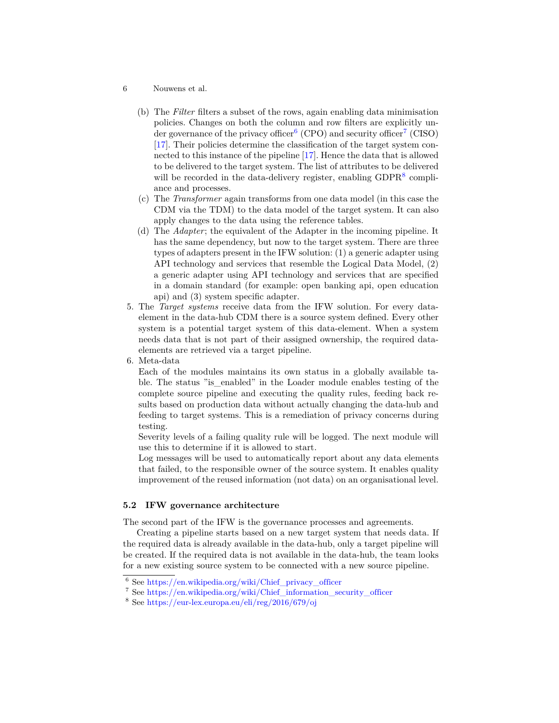- 6 Nouwens et al.
	- (b) The *Filter* filters a subset of the rows, again enabling data minimisation policies. Changes on both the column and row filters are explicitly un-der governance of the privacy officer<sup>[6](#page-5-0)</sup> (CPO) and security officer<sup>[7](#page-5-1)</sup> (CISO) [\[17\]](#page-13-9). Their policies determine the classification of the target system connected to this instance of the pipeline [\[17\]](#page-13-9). Hence the data that is allowed to be delivered to the target system. The list of attributes to be delivered will be recorded in the data-delivery register, enabling GDPR<sup>[8](#page-5-2)</sup> compliance and processes.
	- (c) The *Transformer* again transforms from one data model (in this case the CDM via the TDM) to the data model of the target system. It can also apply changes to the data using the reference tables.
	- (d) The *Adapter*; the equivalent of the Adapter in the incoming pipeline. It has the same dependency, but now to the target system. There are three types of adapters present in the IFW solution: (1) a generic adapter using API technology and services that resemble the Logical Data Model, (2) a generic adapter using API technology and services that are specified in a domain standard (for example: open banking api, open education api) and (3) system specific adapter.
- 5. The *Target systems* receive data from the IFW solution. For every dataelement in the data-hub CDM there is a source system defined. Every other system is a potential target system of this data-element. When a system needs data that is not part of their assigned ownership, the required dataelements are retrieved via a target pipeline.

6. Meta-data

Each of the modules maintains its own status in a globally available table. The status "is\_enabled" in the Loader module enables testing of the complete source pipeline and executing the quality rules, feeding back results based on production data without actually changing the data-hub and feeding to target systems. This is a remediation of privacy concerns during testing.

Severity levels of a failing quality rule will be logged. The next module will use this to determine if it is allowed to start.

Log messages will be used to automatically report about any data elements that failed, to the responsible owner of the source system. It enables quality improvement of the reused information (not data) on an organisational level.

#### **5.2 IFW governance architecture**

The second part of the IFW is the governance processes and agreements.

Creating a pipeline starts based on a new target system that needs data. If the required data is already available in the data-hub, only a target pipeline will be created. If the required data is not available in the data-hub, the team looks for a new existing source system to be connected with a new source pipeline.

<span id="page-5-0"></span> $6$  See [https://en.wikipedia.org/wiki/Chief\\_privacy\\_officer](https://en.wikipedia.org/wiki/Chief_privacy_officer)

<span id="page-5-1"></span><sup>7</sup> See [https://en.wikipedia.org/wiki/Chief\\_information\\_security\\_officer](https://en.wikipedia.org/wiki/Chief_information_security_officer)

<span id="page-5-2"></span><sup>8</sup> See <https://eur-lex.europa.eu/eli/reg/2016/679/oj>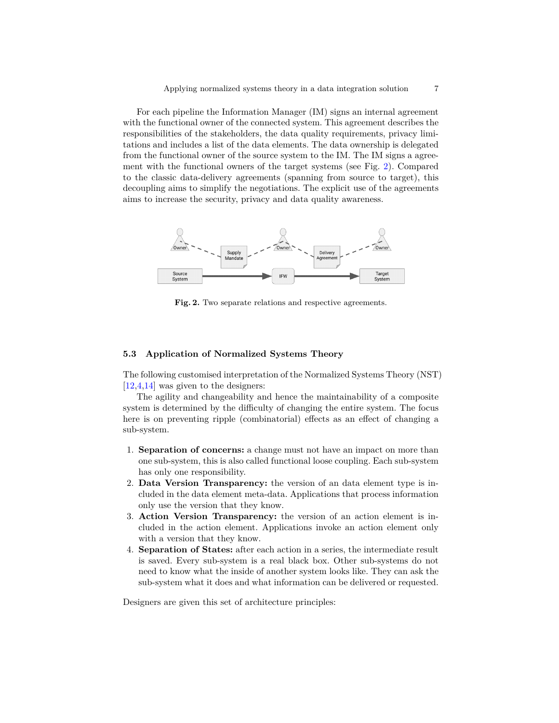For each pipeline the Information Manager (IM) signs an internal agreement with the functional owner of the connected system. This agreement describes the responsibilities of the stakeholders, the data quality requirements, privacy limitations and includes a list of the data elements. The data ownership is delegated from the functional owner of the source system to the IM. The IM signs a agreement with the functional owners of the target systems (see Fig. [2\)](#page-6-0). Compared to the classic data-delivery agreements (spanning from source to target), this decoupling aims to simplify the negotiations. The explicit use of the agreements aims to increase the security, privacy and data quality awareness.



<span id="page-6-0"></span>**Fig. 2.** Two separate relations and respective agreements.

#### **5.3 Application of Normalized Systems Theory**

The following customised interpretation of the Normalized Systems Theory (NST)  $[12,4,14]$  $[12,4,14]$  $[12,4,14]$  was given to the designers:

The agility and changeability and hence the maintainability of a composite system is determined by the difficulty of changing the entire system. The focus here is on preventing ripple (combinatorial) effects as an effect of changing a sub-system.

- 1. **Separation of concerns:** a change must not have an impact on more than one sub-system, this is also called functional loose coupling. Each sub-system has only one responsibility.
- 2. **Data Version Transparency:** the version of an data element type is included in the data element meta-data. Applications that process information only use the version that they know.
- 3. **Action Version Transparency:** the version of an action element is included in the action element. Applications invoke an action element only with a version that they know.
- 4. **Separation of States:** after each action in a series, the intermediate result is saved. Every sub-system is a real black box. Other sub-systems do not need to know what the inside of another system looks like. They can ask the sub-system what it does and what information can be delivered or requested.

Designers are given this set of architecture principles: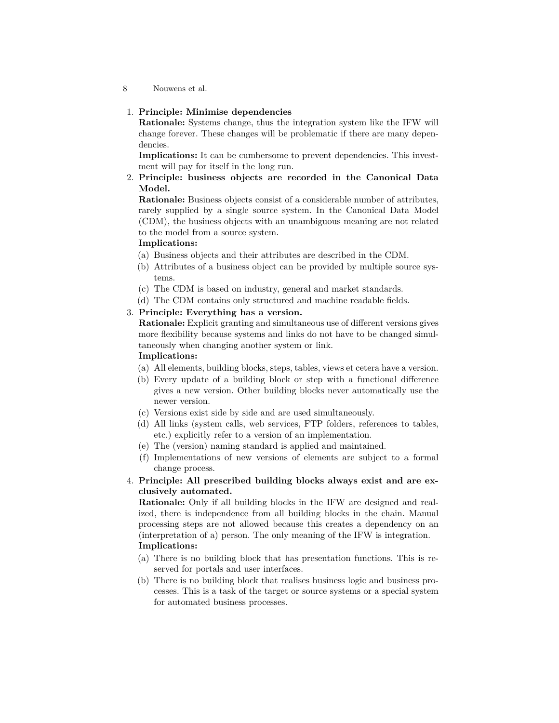#### 1. **Principle: Minimise dependencies**

**Rationale:** Systems change, thus the integration system like the IFW will change forever. These changes will be problematic if there are many dependencies.

**Implications:** It can be cumbersome to prevent dependencies. This investment will pay for itself in the long run.

#### 2. **Principle: business objects are recorded in the Canonical Data Model.**

**Rationale:** Business objects consist of a considerable number of attributes, rarely supplied by a single source system. In the Canonical Data Model (CDM), the business objects with an unambiguous meaning are not related to the model from a source system.

#### **Implications:**

- (a) Business objects and their attributes are described in the CDM.
- (b) Attributes of a business object can be provided by multiple source systems.
- (c) The CDM is based on industry, general and market standards.
- (d) The CDM contains only structured and machine readable fields.

## 3. **Principle: Everything has a version.**

**Rationale:** Explicit granting and simultaneous use of different versions gives more flexibility because systems and links do not have to be changed simultaneously when changing another system or link.

#### **Implications:**

- (a) All elements, building blocks, steps, tables, views et cetera have a version.
- (b) Every update of a building block or step with a functional difference gives a new version. Other building blocks never automatically use the newer version.
- (c) Versions exist side by side and are used simultaneously.
- (d) All links (system calls, web services, FTP folders, references to tables, etc.) explicitly refer to a version of an implementation.
- (e) The (version) naming standard is applied and maintained.
- (f) Implementations of new versions of elements are subject to a formal change process.

## 4. **Principle: All prescribed building blocks always exist and are exclusively automated.**

**Rationale:** Only if all building blocks in the IFW are designed and realized, there is independence from all building blocks in the chain. Manual processing steps are not allowed because this creates a dependency on an (interpretation of a) person. The only meaning of the IFW is integration. **Implications:**

- (a) There is no building block that has presentation functions. This is reserved for portals and user interfaces.
- (b) There is no building block that realises business logic and business processes. This is a task of the target or source systems or a special system for automated business processes.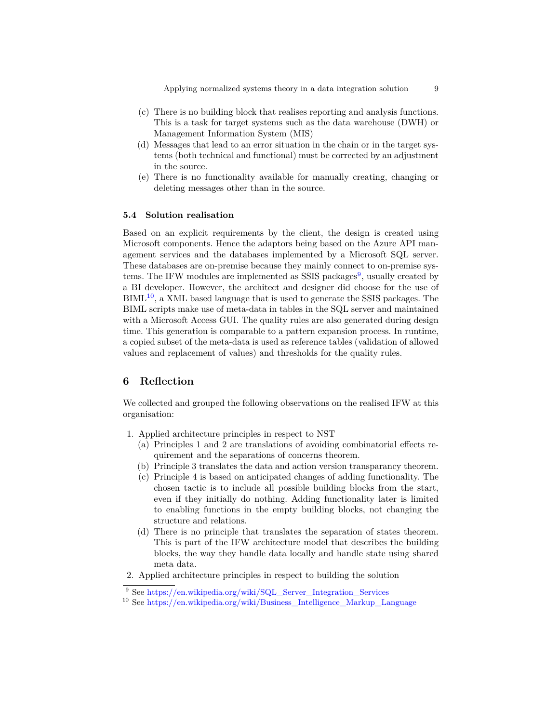Applying normalized systems theory in a data integration solution 9

- (c) There is no building block that realises reporting and analysis functions. This is a task for target systems such as the data warehouse (DWH) or Management Information System (MIS)
- (d) Messages that lead to an error situation in the chain or in the target systems (both technical and functional) must be corrected by an adjustment in the source.
- (e) There is no functionality available for manually creating, changing or deleting messages other than in the source.

## **5.4 Solution realisation**

Based on an explicit requirements by the client, the design is created using Microsoft components. Hence the adaptors being based on the Azure API management services and the databases implemented by a Microsoft SQL server. These databases are on-premise because they mainly connect to on-premise sys-tems. The IFW modules are implemented as SSIS packages<sup>[9](#page-8-0)</sup>, usually created by a BI developer. However, the architect and designer did choose for the use of  $BIML<sup>10</sup>$  $BIML<sup>10</sup>$  $BIML<sup>10</sup>$ , a XML based language that is used to generate the SSIS packages. The BIML scripts make use of meta-data in tables in the SQL server and maintained with a Microsoft Access GUI. The quality rules are also generated during design time. This generation is comparable to a pattern expansion process. In runtime, a copied subset of the meta-data is used as reference tables (validation of allowed values and replacement of values) and thresholds for the quality rules.

# **6 Reflection**

We collected and grouped the following observations on the realised IFW at this organisation:

- 1. Applied architecture principles in respect to NST
	- (a) Principles 1 and 2 are translations of avoiding combinatorial effects requirement and the separations of concerns theorem.
	- (b) Principle 3 translates the data and action version transparancy theorem.
	- (c) Principle 4 is based on anticipated changes of adding functionality. The chosen tactic is to include all possible building blocks from the start, even if they initially do nothing. Adding functionality later is limited to enabling functions in the empty building blocks, not changing the structure and relations.
	- (d) There is no principle that translates the separation of states theorem. This is part of the IFW architecture model that describes the building blocks, the way they handle data locally and handle state using shared meta data.
- 2. Applied architecture principles in respect to building the solution

<span id="page-8-0"></span><sup>9</sup> See [https://en.wikipedia.org/wiki/SQL\\_Server\\_Integration\\_Services](https://en.wikipedia.org/wiki/SQL_Server_Integration_Services)

<span id="page-8-1"></span><sup>&</sup>lt;sup>10</sup> See [https://en.wikipedia.org/wiki/Business\\_Intelligence\\_Markup\\_Language](https://en.wikipedia.org/wiki/Business_Intelligence_Markup_Language)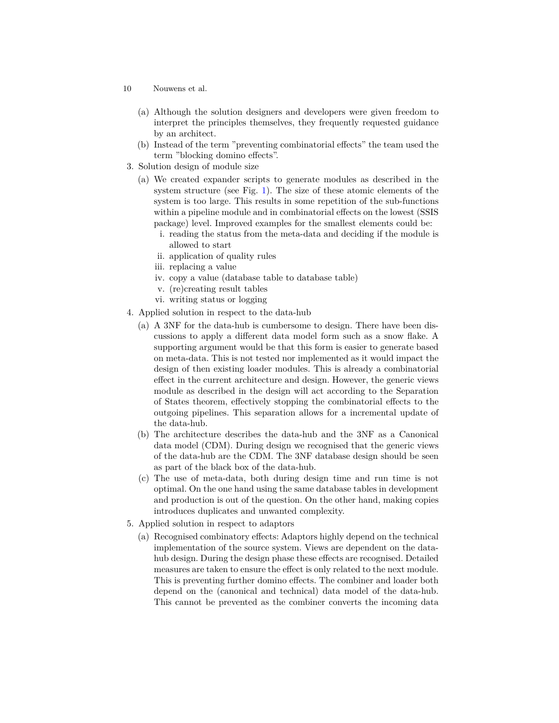- 10 Nouwens et al.
	- (a) Although the solution designers and developers were given freedom to interpret the principles themselves, they frequently requested guidance by an architect.
	- (b) Instead of the term "preventing combinatorial effects" the team used the term "blocking domino effects".
- 3. Solution design of module size
	- (a) We created expander scripts to generate modules as described in the system structure (see Fig. [1\)](#page-3-0). The size of these atomic elements of the system is too large. This results in some repetition of the sub-functions within a pipeline module and in combinatorial effects on the lowest (SSIS package) level. Improved examples for the smallest elements could be:
		- i. reading the status from the meta-data and deciding if the module is allowed to start
		- ii. application of quality rules
		- iii. replacing a value
		- iv. copy a value (database table to database table)
		- v. (re)creating result tables
		- vi. writing status or logging
- 4. Applied solution in respect to the data-hub
	- (a) A 3NF for the data-hub is cumbersome to design. There have been discussions to apply a different data model form such as a snow flake. A supporting argument would be that this form is easier to generate based on meta-data. This is not tested nor implemented as it would impact the design of then existing loader modules. This is already a combinatorial effect in the current architecture and design. However, the generic views module as described in the design will act according to the Separation of States theorem, effectively stopping the combinatorial effects to the outgoing pipelines. This separation allows for a incremental update of the data-hub.
	- (b) The architecture describes the data-hub and the 3NF as a Canonical data model (CDM). During design we recognised that the generic views of the data-hub are the CDM. The 3NF database design should be seen as part of the black box of the data-hub.
	- (c) The use of meta-data, both during design time and run time is not optimal. On the one hand using the same database tables in development and production is out of the question. On the other hand, making copies introduces duplicates and unwanted complexity.
- 5. Applied solution in respect to adaptors
	- (a) Recognised combinatory effects: Adaptors highly depend on the technical implementation of the source system. Views are dependent on the datahub design. During the design phase these effects are recognised. Detailed measures are taken to ensure the effect is only related to the next module. This is preventing further domino effects. The combiner and loader both depend on the (canonical and technical) data model of the data-hub. This cannot be prevented as the combiner converts the incoming data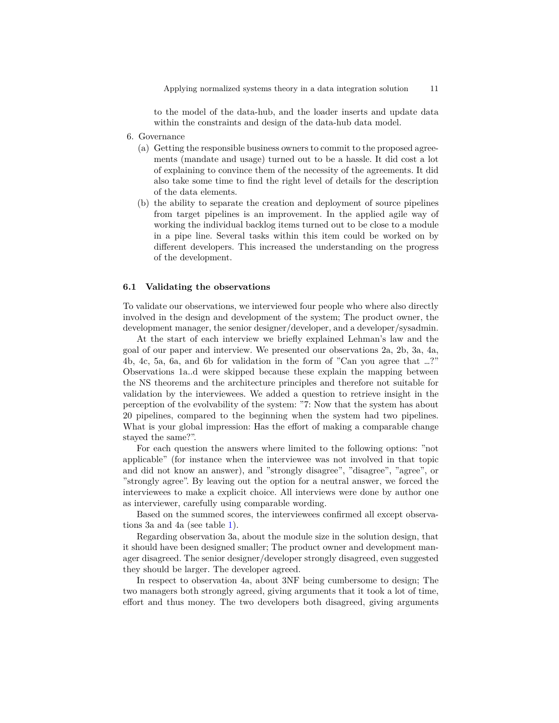to the model of the data-hub, and the loader inserts and update data within the constraints and design of the data-hub data model.

- 6. Governance
	- (a) Getting the responsible business owners to commit to the proposed agreements (mandate and usage) turned out to be a hassle. It did cost a lot of explaining to convince them of the necessity of the agreements. It did also take some time to find the right level of details for the description of the data elements.
	- (b) the ability to separate the creation and deployment of source pipelines from target pipelines is an improvement. In the applied agile way of working the individual backlog items turned out to be close to a module in a pipe line. Several tasks within this item could be worked on by different developers. This increased the understanding on the progress of the development.

#### **6.1 Validating the observations**

To validate our observations, we interviewed four people who where also directly involved in the design and development of the system; The product owner, the development manager, the senior designer/developer, and a developer/sysadmin.

At the start of each interview we briefly explained Lehman's law and the goal of our paper and interview. We presented our observations 2a, 2b, 3a, 4a, 4b, 4c, 5a, 6a, and 6b for validation in the form of "Can you agree that …?" Observations 1a..d were skipped because these explain the mapping between the NS theorems and the architecture principles and therefore not suitable for validation by the interviewees. We added a question to retrieve insight in the perception of the evolvability of the system: "7: Now that the system has about 20 pipelines, compared to the beginning when the system had two pipelines. What is your global impression: Has the effort of making a comparable change stayed the same?".

For each question the answers where limited to the following options: "not applicable" (for instance when the interviewee was not involved in that topic and did not know an answer), and "strongly disagree", "disagree", "agree", or "strongly agree". By leaving out the option for a neutral answer, we forced the interviewees to make a explicit choice. All interviews were done by author one as interviewer, carefully using comparable wording.

Based on the summed scores, the interviewees confirmed all except observations 3a and 4a (see table [1\)](#page-11-0).

Regarding observation 3a, about the module size in the solution design, that it should have been designed smaller; The product owner and development manager disagreed. The senior designer/developer strongly disagreed, even suggested they should be larger. The developer agreed.

In respect to observation 4a, about 3NF being cumbersome to design; The two managers both strongly agreed, giving arguments that it took a lot of time, effort and thus money. The two developers both disagreed, giving arguments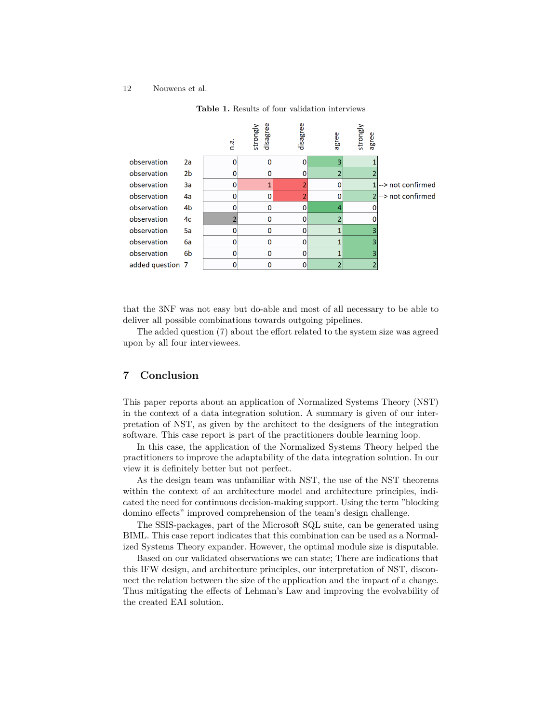

<span id="page-11-0"></span>**Table 1.** Results of four validation interviews

that the 3NF was not easy but do-able and most of all necessary to be able to deliver all possible combinations towards outgoing pipelines.

The added question (7) about the effort related to the system size was agreed upon by all four interviewees.

# **7 Conclusion**

This paper reports about an application of Normalized Systems Theory (NST) in the context of a data integration solution. A summary is given of our interpretation of NST, as given by the architect to the designers of the integration software. This case report is part of the practitioners double learning loop.

In this case, the application of the Normalized Systems Theory helped the practitioners to improve the adaptability of the data integration solution. In our view it is definitely better but not perfect.

As the design team was unfamiliar with NST, the use of the NST theorems within the context of an architecture model and architecture principles, indicated the need for continuous decision-making support. Using the term "blocking domino effects" improved comprehension of the team's design challenge.

The SSIS-packages, part of the Microsoft SQL suite, can be generated using BIML. This case report indicates that this combination can be used as a Normalized Systems Theory expander. However, the optimal module size is disputable.

Based on our validated observations we can state; There are indications that this IFW design, and architecture principles, our interpretation of NST, disconnect the relation between the size of the application and the impact of a change. Thus mitigating the effects of Lehman's Law and improving the evolvability of the created EAI solution.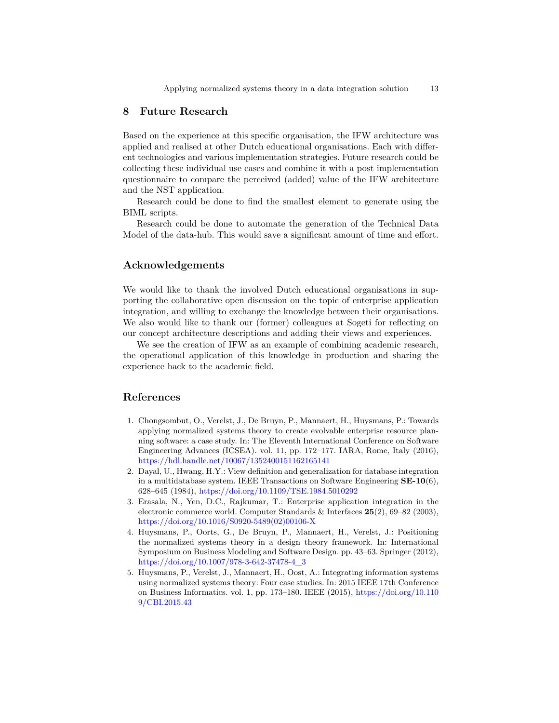## **8 Future Research**

Based on the experience at this specific organisation, the IFW architecture was applied and realised at other Dutch educational organisations. Each with different technologies and various implementation strategies. Future research could be collecting these individual use cases and combine it with a post implementation questionnaire to compare the perceived (added) value of the IFW architecture and the NST application.

Research could be done to find the smallest element to generate using the BIML scripts.

Research could be done to automate the generation of the Technical Data Model of the data-hub. This would save a significant amount of time and effort.

## **Acknowledgements**

We would like to thank the involved Dutch educational organisations in supporting the collaborative open discussion on the topic of enterprise application integration, and willing to exchange the knowledge between their organisations. We also would like to thank our (former) colleagues at Sogeti for reflecting on our concept architecture descriptions and adding their views and experiences.

We see the creation of IFW as an example of combining academic research, the operational application of this knowledge in production and sharing the experience back to the academic field.

## **References**

- <span id="page-12-1"></span>1. Chongsombut, O., Verelst, J., De Bruyn, P., Mannaert, H., Huysmans, P.: Towards applying normalized systems theory to create evolvable enterprise resource planning software: a case study. In: The Eleventh International Conference on Software Engineering Advances (ICSEA). vol. 11, pp. 172–177. IARA, Rome, Italy (2016), <https://hdl.handle.net/10067/1352400151162165141>
- <span id="page-12-3"></span>2. Dayal, U., Hwang, H.Y.: View definition and generalization for database integration in a multidatabase system. IEEE Transactions on Software Engineering **SE-10**(6), 628–645 (1984), <https://doi.org/10.1109/TSE.1984.5010292>
- 3. Erasala, N., Yen, D.C., Rajkumar, T.: Enterprise application integration in the electronic commerce world. Computer Standards & Interfaces **25**(2), 69–82 (2003), [https://doi.org/10.1016/S0920-5489\(02\)00106-X](https://doi.org/10.1016/S0920-5489(02)00106-X)
- <span id="page-12-0"></span>4. Huysmans, P., Oorts, G., De Bruyn, P., Mannaert, H., Verelst, J.: Positioning the normalized systems theory in a design theory framework. In: International Symposium on Business Modeling and Software Design. pp. 43–63. Springer (2012), [https://doi.org/10.1007/978-3-642-37478-4\\_3](https://doi.org/10.1007/978-3-642-37478-4_3)
- <span id="page-12-2"></span>5. Huysmans, P., Verelst, J., Mannaert, H., Oost, A.: Integrating information systems using normalized systems theory: Four case studies. In: 2015 IEEE 17th Conference on Business Informatics. vol. 1, pp. 173–180. IEEE (2015), [https://doi.org/10.110](https://doi.org/10.1109/CBI.2015.43) [9/CBI.2015.43](https://doi.org/10.1109/CBI.2015.43)